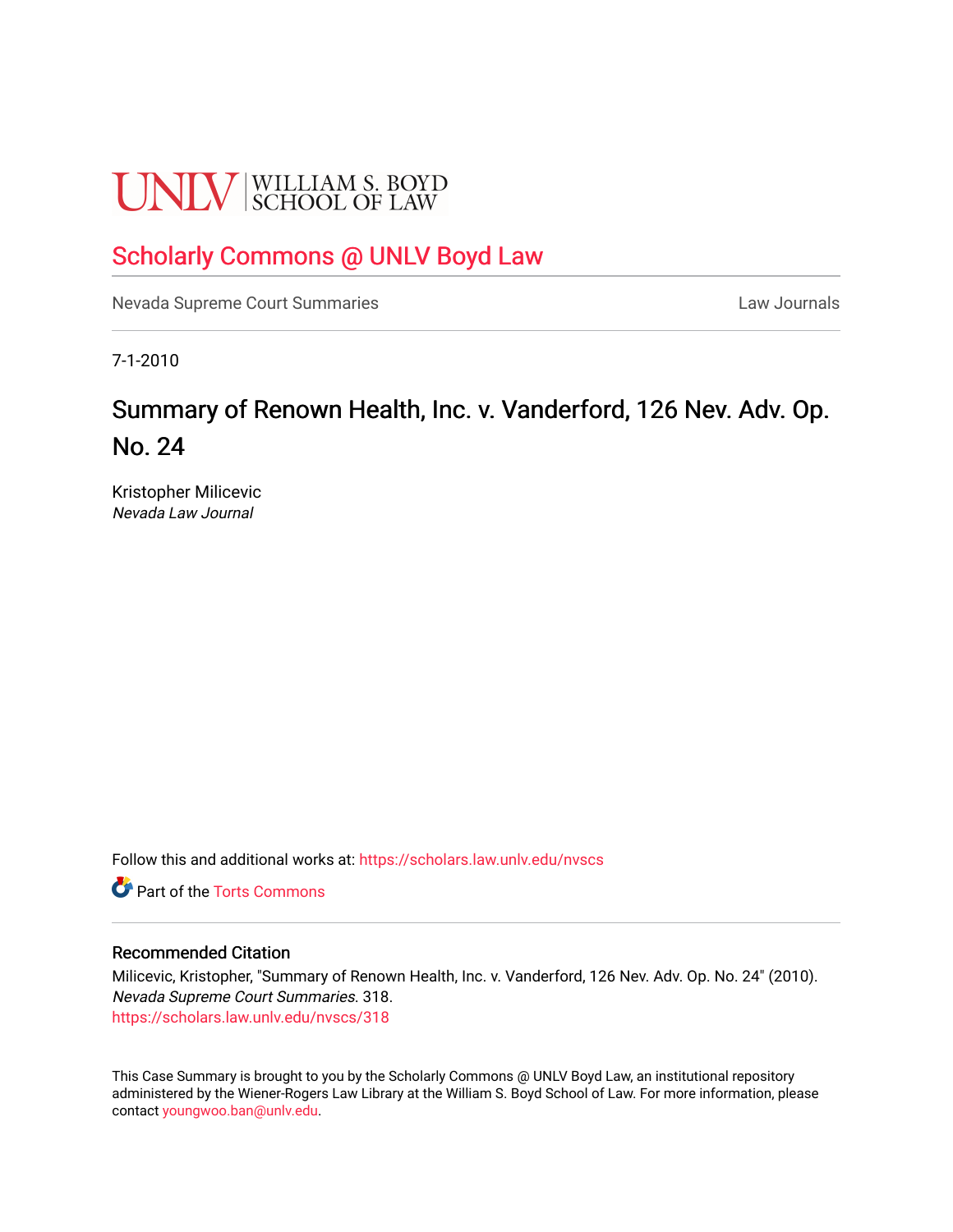# **UNLV** SCHOOL OF LAW

# [Scholarly Commons @ UNLV Boyd Law](https://scholars.law.unlv.edu/)

[Nevada Supreme Court Summaries](https://scholars.law.unlv.edu/nvscs) **Law Journals** Law Journals

7-1-2010

# Summary of Renown Health, Inc. v. Vanderford, 126 Nev. Adv. Op. No. 24

Kristopher Milicevic Nevada Law Journal

Follow this and additional works at: [https://scholars.law.unlv.edu/nvscs](https://scholars.law.unlv.edu/nvscs?utm_source=scholars.law.unlv.edu%2Fnvscs%2F318&utm_medium=PDF&utm_campaign=PDFCoverPages)

**C** Part of the [Torts Commons](http://network.bepress.com/hgg/discipline/913?utm_source=scholars.law.unlv.edu%2Fnvscs%2F318&utm_medium=PDF&utm_campaign=PDFCoverPages)

## Recommended Citation

Milicevic, Kristopher, "Summary of Renown Health, Inc. v. Vanderford, 126 Nev. Adv. Op. No. 24" (2010). Nevada Supreme Court Summaries. 318. [https://scholars.law.unlv.edu/nvscs/318](https://scholars.law.unlv.edu/nvscs/318?utm_source=scholars.law.unlv.edu%2Fnvscs%2F318&utm_medium=PDF&utm_campaign=PDFCoverPages)

This Case Summary is brought to you by the Scholarly Commons @ UNLV Boyd Law, an institutional repository administered by the Wiener-Rogers Law Library at the William S. Boyd School of Law. For more information, please contact [youngwoo.ban@unlv.edu](mailto:youngwoo.ban@unlv.edu).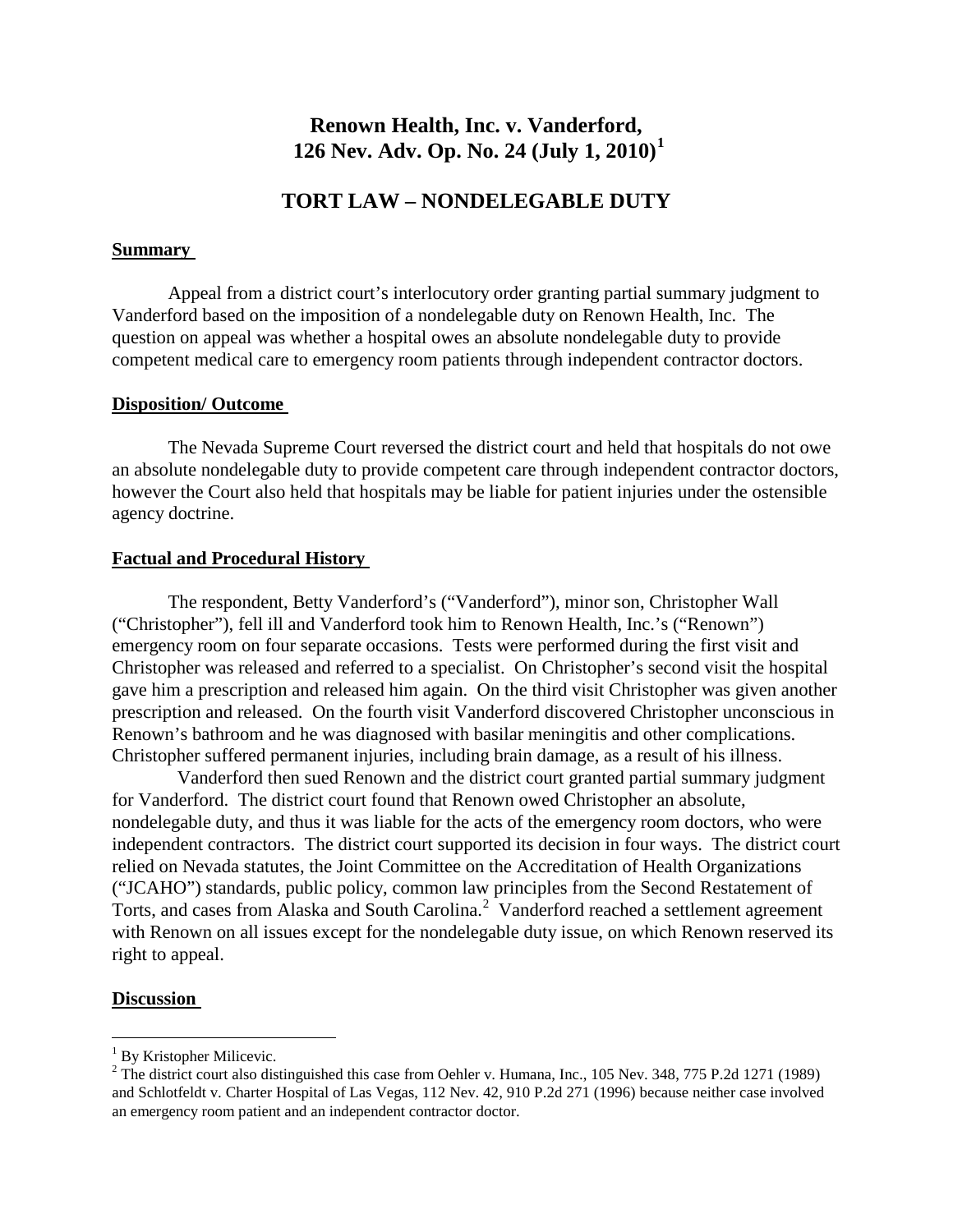# **Renown Health, Inc. v. Vanderford, 126 Nev. Adv. Op. No. 24 (July 1, 2010)[1](#page-1-0)**

# **TORT LAW – NONDELEGABLE DUTY**

#### **Summary**

Appeal from a district court's interlocutory order granting partial summary judgment to Vanderford based on the imposition of a nondelegable duty on Renown Health, Inc. The question on appeal was whether a hospital owes an absolute nondelegable duty to provide competent medical care to emergency room patients through independent contractor doctors.

#### **Disposition/ Outcome**

The Nevada Supreme Court reversed the district court and held that hospitals do not owe an absolute nondelegable duty to provide competent care through independent contractor doctors, however the Court also held that hospitals may be liable for patient injuries under the ostensible agency doctrine.

#### **Factual and Procedural History**

The respondent, Betty Vanderford's ("Vanderford"), minor son, Christopher Wall ("Christopher"), fell ill and Vanderford took him to Renown Health, Inc.'s ("Renown") emergency room on four separate occasions. Tests were performed during the first visit and Christopher was released and referred to a specialist.On Christopher's second visit the hospital gave him a prescription and released him again. On the third visit Christopher was given another prescription and released. On the fourth visit Vanderford discovered Christopher unconscious in Renown's bathroom and he was diagnosed with basilar meningitis and other complications. Christopher suffered permanent injuries, including brain damage, as a result of his illness.

 Vanderford then sued Renown and the district court granted partial summary judgment for Vanderford. The district court found that Renown owed Christopher an absolute, nondelegable duty, and thus it was liable for the acts of the emergency room doctors, who were independent contractors. The district court supported its decision in four ways. The district court relied on Nevada statutes, the Joint Committee on the Accreditation of Health Organizations ("JCAHO") standards, public policy, common law principles from the Second Restatement of Torts, and cases from Alaska and South Carolina.<sup>[2](#page-1-1)</sup> Vanderford reached a settlement agreement with Renown on all issues except for the nondelegable duty issue, on which Renown reserved its right to appeal.

#### **Discussion**

<span id="page-1-0"></span> $1$  By Kristopher Milicevic.

<span id="page-1-1"></span><sup>&</sup>lt;sup>2</sup> The district court also distinguished this case from Oehler v. Humana, Inc., 105 Nev. 348, 775 P.2d 1271 (1989) and Schlotfeldt v. Charter Hospital of Las Vegas, 112 Nev. 42, 910 P.2d 271 (1996) because neither case involved an emergency room patient and an independent contractor doctor.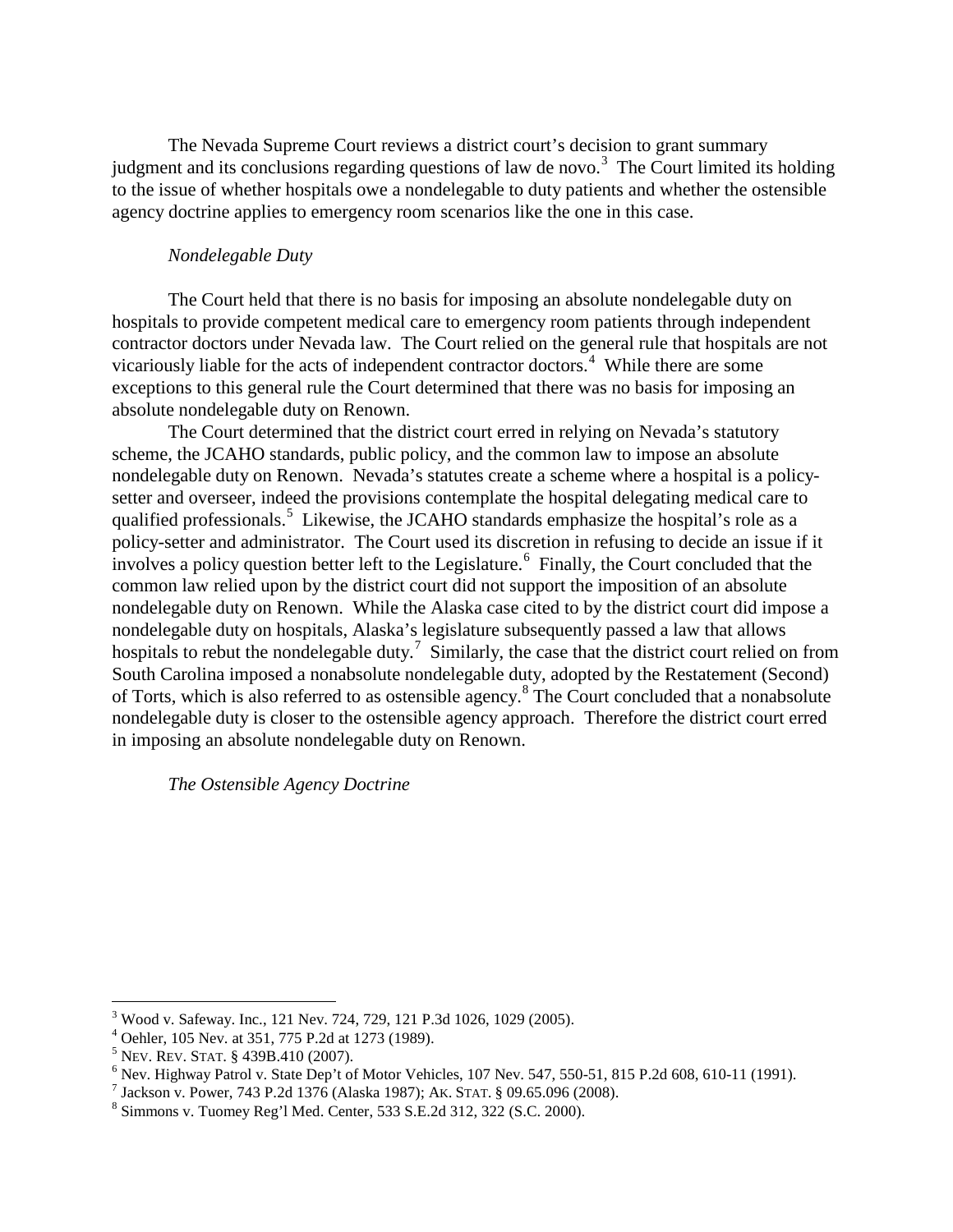The Nevada Supreme Court reviews a district court's decision to grant summary judgment and its conclusions regarding questions of law de novo.<sup>[3](#page-2-0)</sup> The Court limited its holding to the issue of whether hospitals owe a nondelegable to duty patients and whether the ostensible agency doctrine applies to emergency room scenarios like the one in this case.

### *Nondelegable Duty*

The Court held that there is no basis for imposing an absolute nondelegable duty on hospitals to provide competent medical care to emergency room patients through independent contractor doctors under Nevada law. The Court relied on the general rule that hospitals are not vicariously liable for the acts of independent contractor doctors.<sup>[4](#page-2-1)</sup> While there are some exceptions to this general rule the Court determined that there was no basis for imposing an absolute nondelegable duty on Renown.

The Court determined that the district court erred in relying on Nevada's statutory scheme, the JCAHO standards, public policy, and the common law to impose an absolute nondelegable duty on Renown. Nevada's statutes create a scheme where a hospital is a policysetter and overseer, indeed the provisions contemplate the hospital delegating medical care to qualified professionals. [5](#page-2-2) Likewise, the JCAHO standards emphasize the hospital's role as a policy-setter and administrator. The Court used its discretion in refusing to decide an issue if it involves a policy question better left to the Legislature.<sup>[6](#page-2-3)</sup> Finally, the Court concluded that the common law relied upon by the district court did not support the imposition of an absolute nondelegable duty on Renown. While the Alaska case cited to by the district court did impose a nondelegable duty on hospitals, Alaska's legislature subsequently passed a law that allows hospitals to rebut the nondelegable duty.<sup>[7](#page-2-4)</sup> Similarly, the case that the district court relied on from South Carolina imposed a nonabsolute nondelegable duty, adopted by the Restatement (Second) of Torts, which is also referred to as ostensible agency.[8](#page-2-5) The Court concluded that a nonabsolute nondelegable duty is closer to the ostensible agency approach. Therefore the district court erred in imposing an absolute nondelegable duty on Renown.

*The Ostensible Agency Doctrine*

<span id="page-2-3"></span><span id="page-2-2"></span>

<span id="page-2-1"></span><span id="page-2-0"></span><sup>&</sup>lt;sup>3</sup> Wood v. Safeway. Inc., 121 Nev. 724, 729, 121 P.3d 1026, 1029 (2005).<br>
<sup>4</sup> Oehler, 105 Nev. at 351, 775 P.2d at 1273 (1989).<br>
<sup>5</sup> Nev. Rev. STAT. § 439B.410 (2007).<br>
<sup>6</sup> Nev. Highway Patrol v. State Dep't of Motor Veh

<span id="page-2-4"></span>

<span id="page-2-5"></span>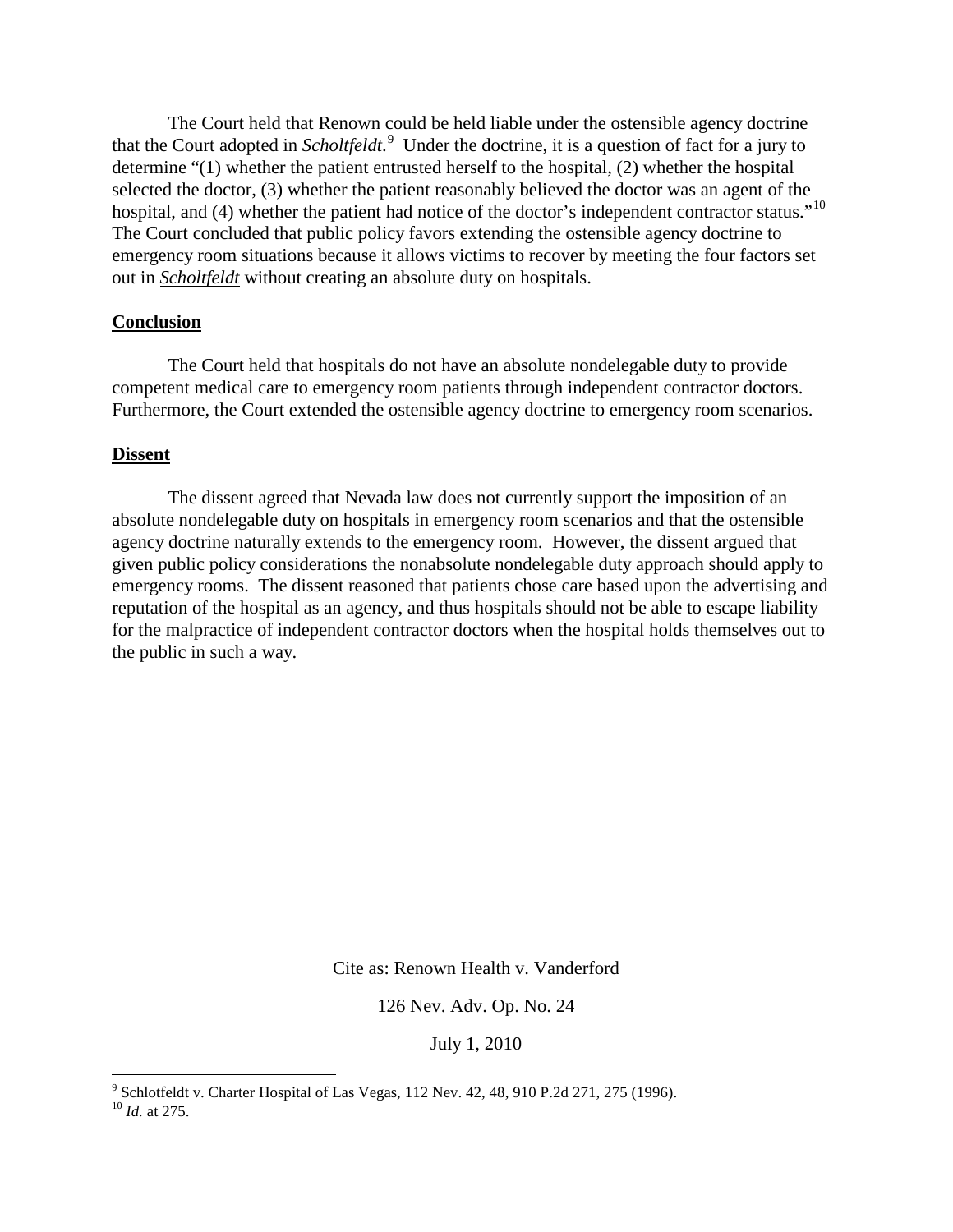The Court held that Renown could be held liable under the ostensible agency doctrine that the Court adopted in *Scholtfeldt*. [9](#page-3-0) Under the doctrine, it is a question of fact for a jury to determine "(1) whether the patient entrusted herself to the hospital, (2) whether the hospital selected the doctor, (3) whether the patient reasonably believed the doctor was an agent of the hospital, and (4) whether the patient had notice of the doctor's independent contractor status."<sup>[10](#page-3-1)</sup> The Court concluded that public policy favors extending the ostensible agency doctrine to emergency room situations because it allows victims to recover by meeting the four factors set out in *Scholtfeldt* without creating an absolute duty on hospitals.

#### **Conclusion**

The Court held that hospitals do not have an absolute nondelegable duty to provide competent medical care to emergency room patients through independent contractor doctors. Furthermore, the Court extended the ostensible agency doctrine to emergency room scenarios.

#### **Dissent**

The dissent agreed that Nevada law does not currently support the imposition of an absolute nondelegable duty on hospitals in emergency room scenarios and that the ostensible agency doctrine naturally extends to the emergency room. However, the dissent argued that given public policy considerations the nonabsolute nondelegable duty approach should apply to emergency rooms. The dissent reasoned that patients chose care based upon the advertising and reputation of the hospital as an agency, and thus hospitals should not be able to escape liability for the malpractice of independent contractor doctors when the hospital holds themselves out to the public in such a way.

Cite as: Renown Health v. Vanderford

126 Nev. Adv. Op. No. 24

July 1, 2010

<span id="page-3-1"></span><span id="page-3-0"></span><sup>9</sup> Schlotfeldt v. Charter Hospital of Las Vegas, 112 Nev. 42, 48, 910 P.2d 271, 275 (1996). 10 *Id.* at 275.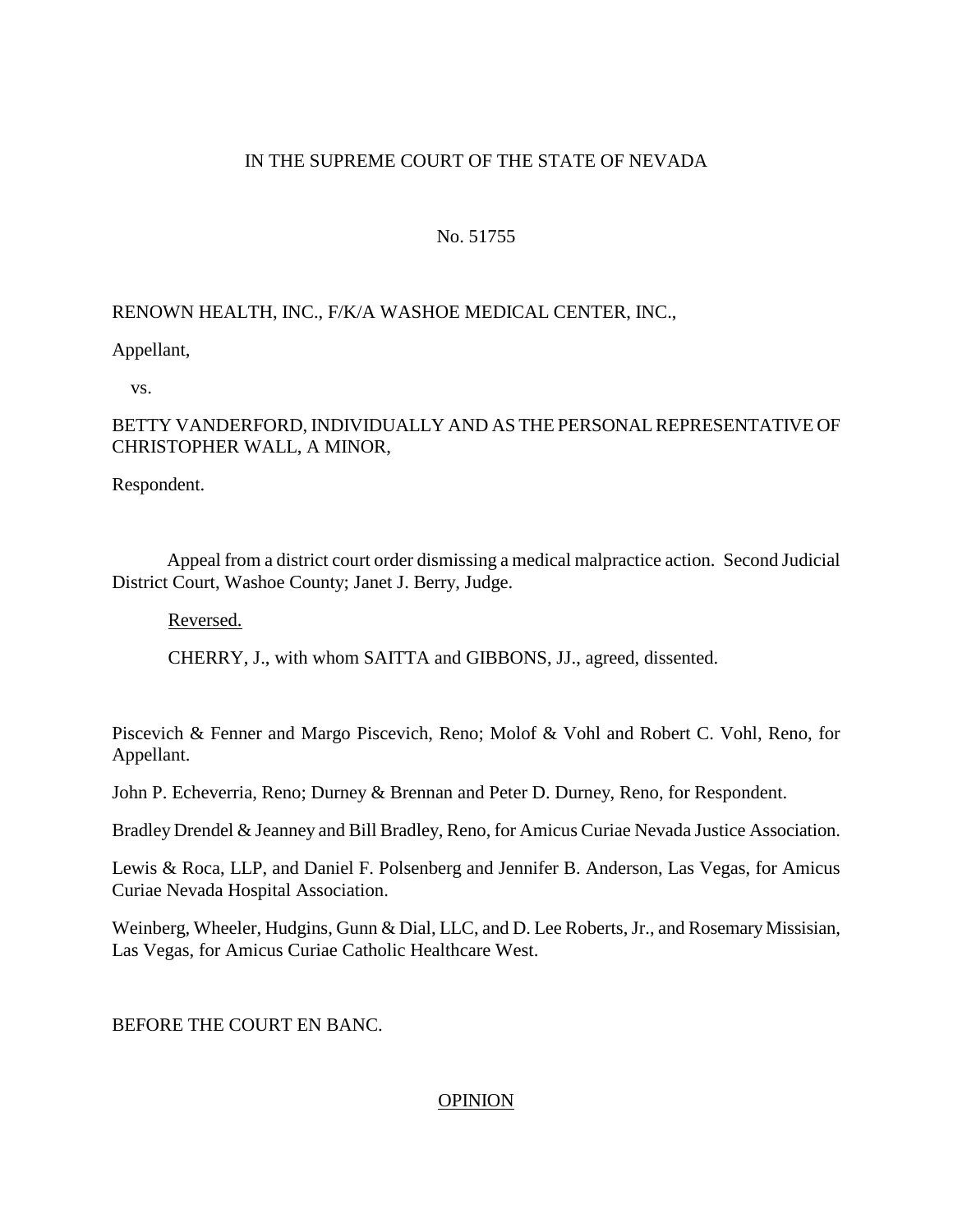# IN THE SUPREME COURT OF THE STATE OF NEVADA

# No. 51755

# RENOWN HEALTH, INC., F/K/A WASHOE MEDICAL CENTER, INC.,

Appellant,

vs.

# BETTY VANDERFORD, INDIVIDUALLY AND AS THE PERSONAL REPRESENTATIVE OF CHRISTOPHER WALL, A MINOR,

Respondent.

 Appeal from a district court order dismissing a medical malpractice action. Second Judicial District Court, Washoe County; Janet J. Berry, Judge.

Reversed.

CHERRY, J., with whom SAITTA and GIBBONS, JJ., agreed, dissented.

Piscevich & Fenner and Margo Piscevich, Reno; Molof & Vohl and Robert C. Vohl, Reno, for Appellant.

John P. Echeverria, Reno; Durney & Brennan and Peter D. Durney, Reno, for Respondent.

Bradley Drendel & Jeanney and Bill Bradley, Reno, for Amicus Curiae Nevada Justice Association.

Lewis & Roca, LLP, and Daniel F. Polsenberg and Jennifer B. Anderson, Las Vegas, for Amicus Curiae Nevada Hospital Association.

Weinberg, Wheeler, Hudgins, Gunn & Dial, LLC, and D. Lee Roberts, Jr., and Rosemary Missisian, Las Vegas, for Amicus Curiae Catholic Healthcare West.

BEFORE THE COURT EN BANC.

# **OPINION**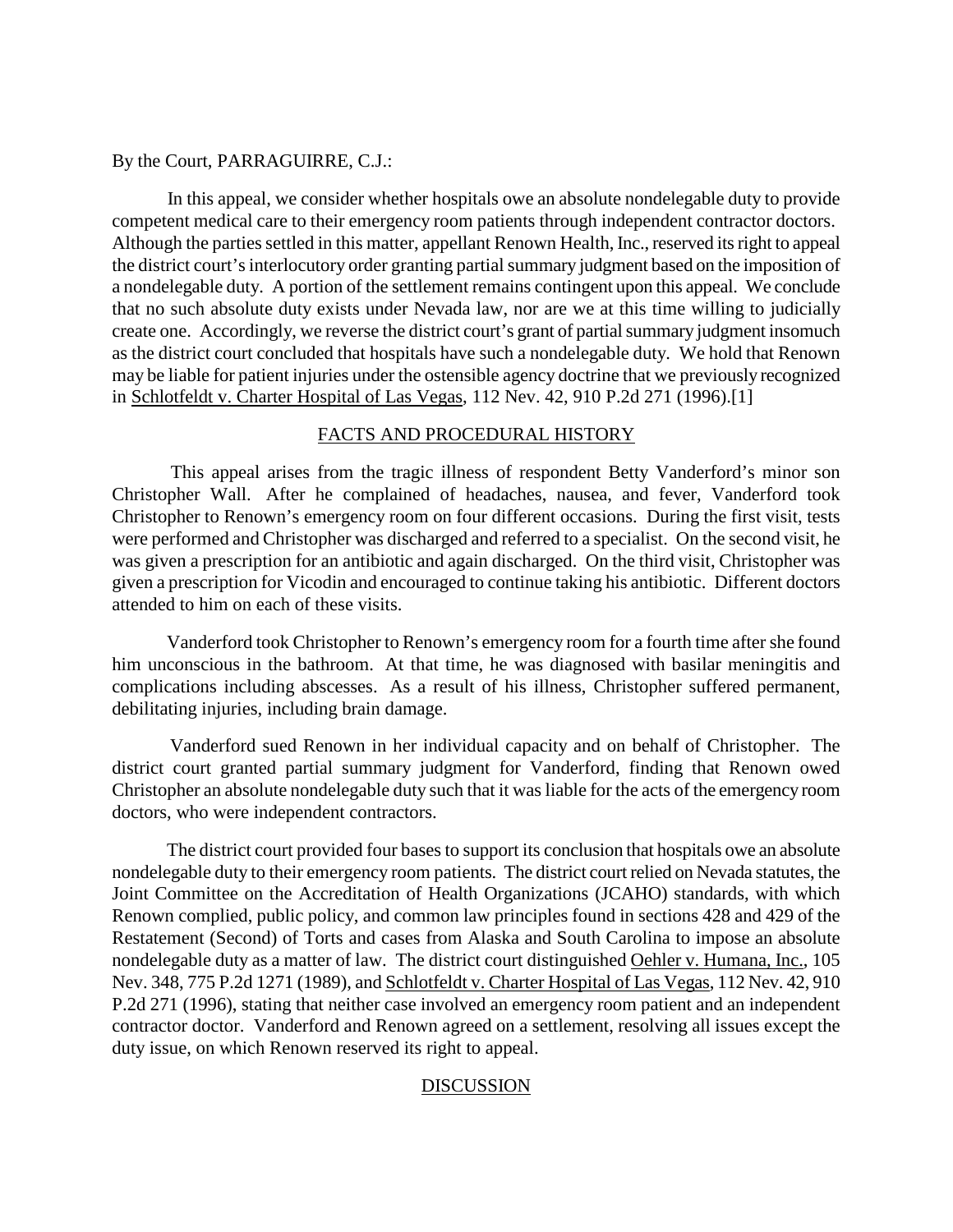#### By the Court, PARRAGUIRRE, C.J.:

 In this appeal, we consider whether hospitals owe an absolute nondelegable duty to provide competent medical care to their emergency room patients through independent contractor doctors. Although the parties settled in this matter, appellant Renown Health, Inc., reserved its right to appeal the district court's interlocutory order granting partial summary judgment based on the imposition of a nondelegable duty. A portion of the settlement remains contingent upon this appeal. We conclude that no such absolute duty exists under Nevada law, nor are we at this time willing to judicially create one. Accordingly, we reverse the district court's grant of partial summary judgment insomuch as the district court concluded that hospitals have such a nondelegable duty. We hold that Renown may be liable for patient injuries under the ostensible agency doctrine that we previously recognized in Schlotfeldt v. Charter Hospital of Las Vegas, 112 Nev. 42, 910 P.2d 271 (1996).[1]

# FACTS AND PROCEDURAL HISTORY

 This appeal arises from the tragic illness of respondent Betty Vanderford's minor son Christopher Wall. After he complained of headaches, nausea, and fever, Vanderford took Christopher to Renown's emergency room on four different occasions. During the first visit, tests were performed and Christopher was discharged and referred to a specialist. On the second visit, he was given a prescription for an antibiotic and again discharged. On the third visit, Christopher was given a prescription for Vicodin and encouraged to continue taking his antibiotic. Different doctors attended to him on each of these visits.

 Vanderford took Christopher to Renown's emergency room for a fourth time after she found him unconscious in the bathroom. At that time, he was diagnosed with basilar meningitis and complications including abscesses. As a result of his illness, Christopher suffered permanent, debilitating injuries, including brain damage.

 Vanderford sued Renown in her individual capacity and on behalf of Christopher. The district court granted partial summary judgment for Vanderford, finding that Renown owed Christopher an absolute nondelegable duty such that it was liable for the acts of the emergency room doctors, who were independent contractors.

 The district court provided four bases to support its conclusion that hospitals owe an absolute nondelegable duty to their emergency room patients. The district court relied on Nevada statutes, the Joint Committee on the Accreditation of Health Organizations (JCAHO) standards, with which Renown complied, public policy, and common law principles found in sections 428 and 429 of the Restatement (Second) of Torts and cases from Alaska and South Carolina to impose an absolute nondelegable duty as a matter of law. The district court distinguished Oehler v. Humana, Inc., 105 Nev. 348, 775 P.2d 1271 (1989), and Schlotfeldt v. Charter Hospital of Las Vegas, 112 Nev. 42, 910 P.2d 271 (1996), stating that neither case involved an emergency room patient and an independent contractor doctor. Vanderford and Renown agreed on a settlement, resolving all issues except the duty issue, on which Renown reserved its right to appeal.

# **DISCUSSION**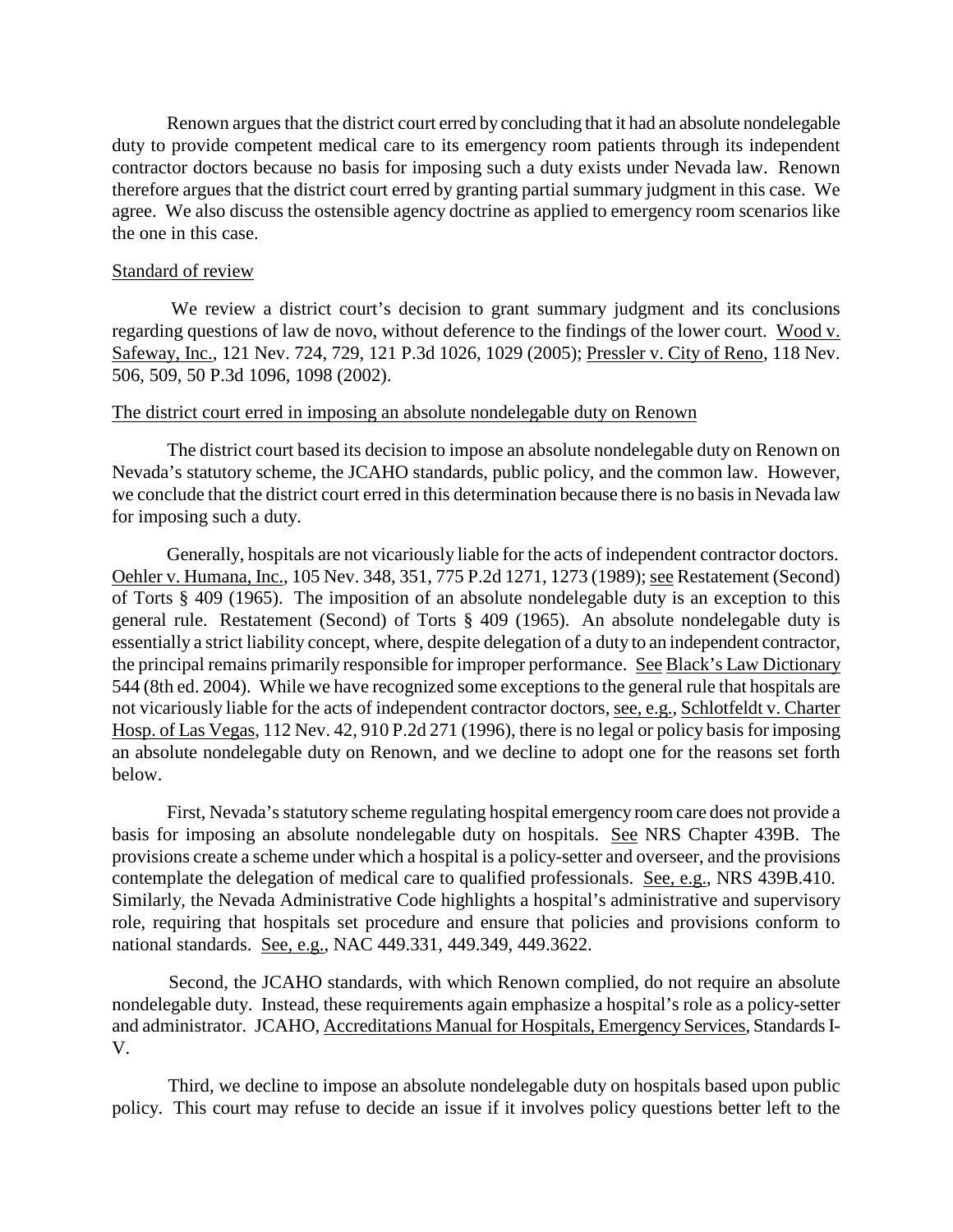Renown argues that the district court erred by concluding that it had an absolute nondelegable duty to provide competent medical care to its emergency room patients through its independent contractor doctors because no basis for imposing such a duty exists under Nevada law. Renown therefore argues that the district court erred by granting partial summary judgment in this case. We agree. We also discuss the ostensible agency doctrine as applied to emergency room scenarios like the one in this case.

#### Standard of review

We review a district court's decision to grant summary judgment and its conclusions regarding questions of law de novo, without deference to the findings of the lower court. Wood v. Safeway, Inc., 121 Nev. 724, 729, 121 P.3d 1026, 1029 (2005); Pressler v. City of Reno, 118 Nev. 506, 509, 50 P.3d 1096, 1098 (2002).

#### The district court erred in imposing an absolute nondelegable duty on Renown

 The district court based its decision to impose an absolute nondelegable duty on Renown on Nevada's statutory scheme, the JCAHO standards, public policy, and the common law. However, we conclude that the district court erred in this determination because there is no basis in Nevada law for imposing such a duty.

 Generally, hospitals are not vicariously liable for the acts of independent contractor doctors. Oehler v. Humana, Inc., 105 Nev. 348, 351, 775 P.2d 1271, 1273 (1989); see Restatement (Second) of Torts § 409 (1965). The imposition of an absolute nondelegable duty is an exception to this general rule. Restatement (Second) of Torts § 409 (1965). An absolute nondelegable duty is essentially a strict liability concept, where, despite delegation of a duty to an independent contractor, the principal remains primarily responsible for improper performance. See Black's Law Dictionary 544 (8th ed. 2004). While we have recognized some exceptions to the general rule that hospitals are not vicariously liable for the acts of independent contractor doctors, see, e.g., Schlotfeldt v. Charter Hosp. of Las Vegas, 112 Nev. 42, 910 P.2d 271 (1996), there is no legal or policy basis for imposing an absolute nondelegable duty on Renown, and we decline to adopt one for the reasons set forth below.

 First, Nevada's statutory scheme regulating hospital emergency room care does not provide a basis for imposing an absolute nondelegable duty on hospitals. See NRS Chapter 439B. The provisions create a scheme under which a hospital is a policy-setter and overseer, and the provisions contemplate the delegation of medical care to qualified professionals. See, e.g., NRS 439B.410. Similarly, the Nevada Administrative Code highlights a hospital's administrative and supervisory role, requiring that hospitals set procedure and ensure that policies and provisions conform to national standards. See, e.g., NAC 449.331, 449.349, 449.3622.

 Second, the JCAHO standards, with which Renown complied, do not require an absolute nondelegable duty. Instead, these requirements again emphasize a hospital's role as a policy-setter and administrator. JCAHO, Accreditations Manual for Hospitals, Emergency Services, Standards I-V.

 Third, we decline to impose an absolute nondelegable duty on hospitals based upon public policy. This court may refuse to decide an issue if it involves policy questions better left to the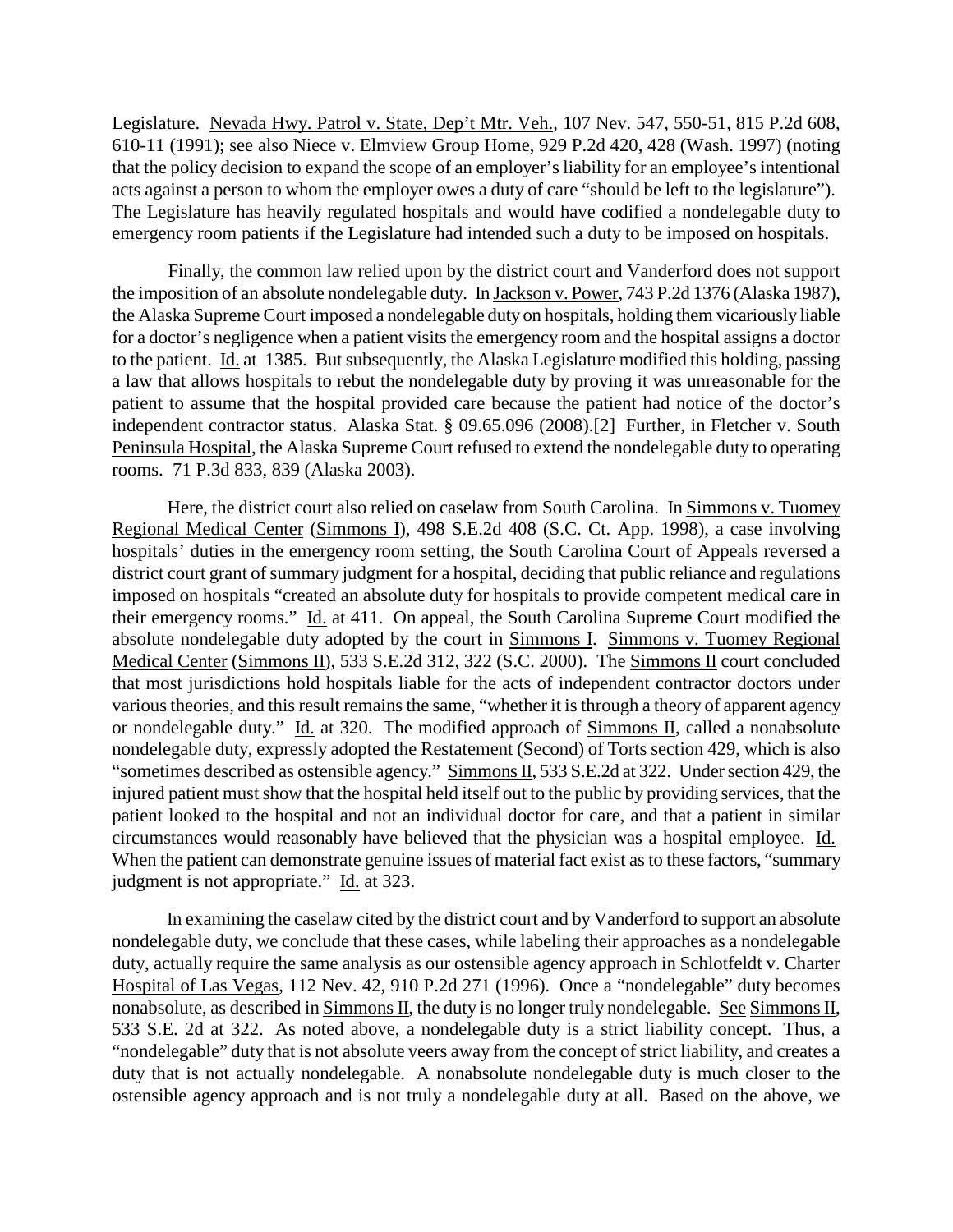Legislature. Nevada Hwy. Patrol v. State, Dep't Mtr. Veh., 107 Nev. 547, 550-51, 815 P.2d 608, 610-11 (1991); see also Niece v. Elmview Group Home, 929 P.2d 420, 428 (Wash. 1997) (noting that the policy decision to expand the scope of an employer's liability for an employee's intentional acts against a person to whom the employer owes a duty of care "should be left to the legislature"). The Legislature has heavily regulated hospitals and would have codified a nondelegable duty to emergency room patients if the Legislature had intended such a duty to be imposed on hospitals.

 Finally, the common law relied upon by the district court and Vanderford does not support the imposition of an absolute nondelegable duty. In Jackson v. Power, 743 P.2d 1376 (Alaska 1987), the Alaska Supreme Court imposed a nondelegable duty on hospitals, holding them vicariously liable for a doctor's negligence when a patient visits the emergency room and the hospital assigns a doctor to the patient. Id. at 1385. But subsequently, the Alaska Legislature modified this holding, passing a law that allows hospitals to rebut the nondelegable duty by proving it was unreasonable for the patient to assume that the hospital provided care because the patient had notice of the doctor's independent contractor status. Alaska Stat. § 09.65.096 (2008).[2] Further, in Fletcher v. South Peninsula Hospital, the Alaska Supreme Court refused to extend the nondelegable duty to operating rooms. 71 P.3d 833, 839 (Alaska 2003).

Here, the district court also relied on caselaw from South Carolina. In Simmons v. Tuomey Regional Medical Center (Simmons I), 498 S.E.2d 408 (S.C. Ct. App. 1998), a case involving hospitals' duties in the emergency room setting, the South Carolina Court of Appeals reversed a district court grant of summary judgment for a hospital, deciding that public reliance and regulations imposed on hospitals "created an absolute duty for hospitals to provide competent medical care in their emergency rooms." Id. at 411. On appeal, the South Carolina Supreme Court modified the absolute nondelegable duty adopted by the court in Simmons I. Simmons v. Tuomey Regional Medical Center (Simmons II), 533 S.E.2d 312, 322 (S.C. 2000). The Simmons II court concluded that most jurisdictions hold hospitals liable for the acts of independent contractor doctors under various theories, and this result remains the same, "whether it is through a theory of apparent agency or nondelegable duty." Id. at 320. The modified approach of Simmons II, called a nonabsolute nondelegable duty, expressly adopted the Restatement (Second) of Torts section 429, which is also "sometimes described as ostensible agency." Simmons II, 533 S.E.2d at 322. Under section 429, the injured patient must show that the hospital held itself out to the public by providing services, that the patient looked to the hospital and not an individual doctor for care, and that a patient in similar circumstances would reasonably have believed that the physician was a hospital employee. Id. When the patient can demonstrate genuine issues of material fact exist as to these factors, "summary judgment is not appropriate." Id. at 323.

 In examining the caselaw cited by the district court and by Vanderford to support an absolute nondelegable duty, we conclude that these cases, while labeling their approaches as a nondelegable duty, actually require the same analysis as our ostensible agency approach in Schlotfeldt v. Charter Hospital of Las Vegas, 112 Nev. 42, 910 P.2d 271 (1996). Once a "nondelegable" duty becomes nonabsolute, as described in Simmons II, the duty is no longer truly nondelegable. See Simmons II, 533 S.E. 2d at 322. As noted above, a nondelegable duty is a strict liability concept. Thus, a "nondelegable" duty that is not absolute veers away from the concept of strict liability, and creates a duty that is not actually nondelegable. A nonabsolute nondelegable duty is much closer to the ostensible agency approach and is not truly a nondelegable duty at all. Based on the above, we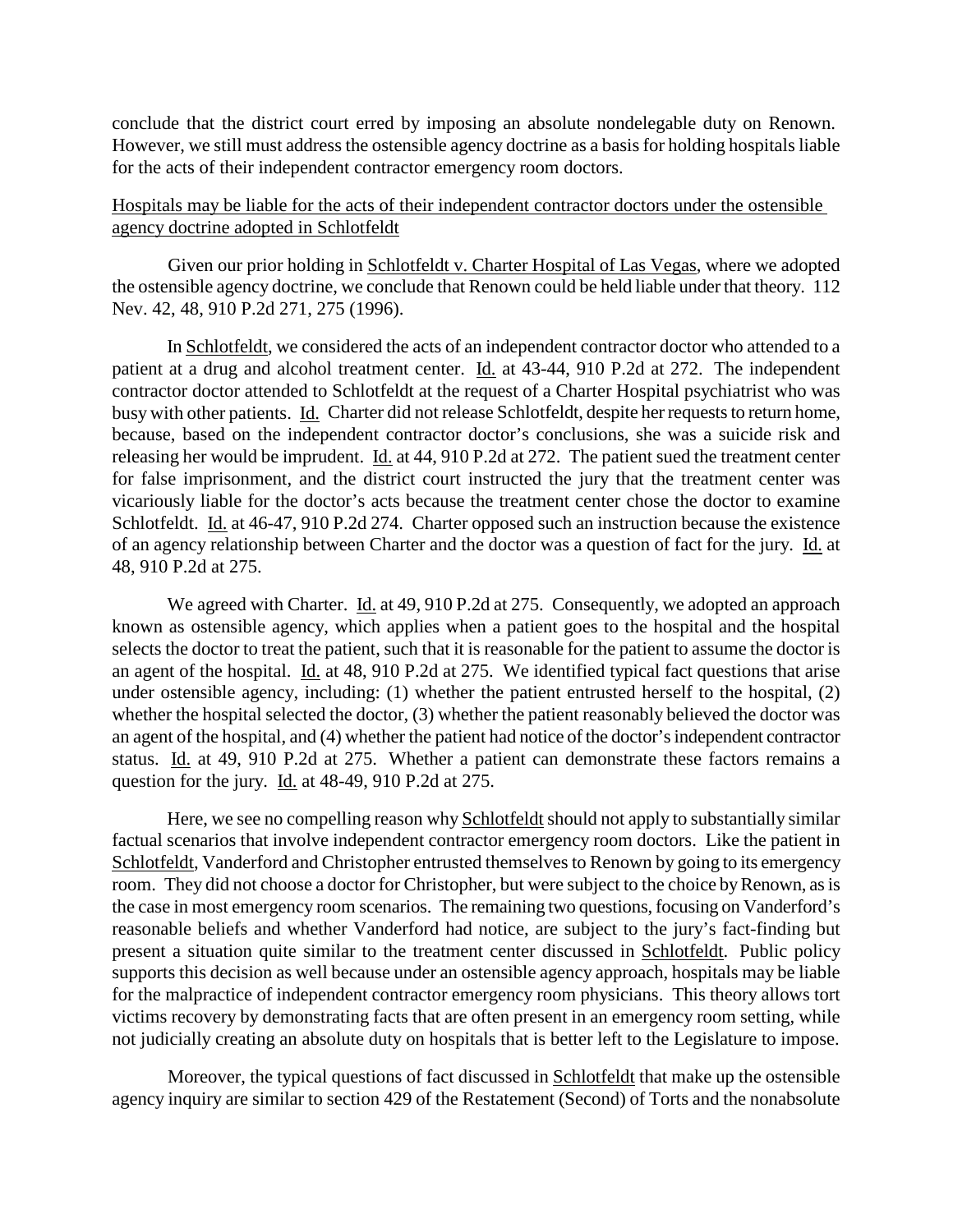conclude that the district court erred by imposing an absolute nondelegable duty on Renown. However, we still must address the ostensible agency doctrine as a basis for holding hospitals liable for the acts of their independent contractor emergency room doctors.

# Hospitals may be liable for the acts of their independent contractor doctors under the ostensible agency doctrine adopted in Schlotfeldt

 Given our prior holding in Schlotfeldt v. Charter Hospital of Las Vegas, where we adopted the ostensible agency doctrine, we conclude that Renown could be held liable under that theory. 112 Nev. 42, 48, 910 P.2d 271, 275 (1996).

 In Schlotfeldt, we considered the acts of an independent contractor doctor who attended to a patient at a drug and alcohol treatment center. Id. at 43-44, 910 P.2d at 272. The independent contractor doctor attended to Schlotfeldt at the request of a Charter Hospital psychiatrist who was busy with other patients. Id. Charter did not release Schlotfeldt, despite her requests to return home, because, based on the independent contractor doctor's conclusions, she was a suicide risk and releasing her would be imprudent. Id. at 44, 910 P.2d at 272. The patient sued the treatment center for false imprisonment, and the district court instructed the jury that the treatment center was vicariously liable for the doctor's acts because the treatment center chose the doctor to examine Schlotfeldt. Id. at 46-47, 910 P.2d 274. Charter opposed such an instruction because the existence of an agency relationship between Charter and the doctor was a question of fact for the jury. Id. at 48, 910 P.2d at 275.

We agreed with Charter. Id. at 49, 910 P.2d at 275. Consequently, we adopted an approach known as ostensible agency, which applies when a patient goes to the hospital and the hospital selects the doctor to treat the patient, such that it is reasonable for the patient to assume the doctor is an agent of the hospital. Id. at 48, 910 P.2d at 275. We identified typical fact questions that arise under ostensible agency, including: (1) whether the patient entrusted herself to the hospital, (2) whether the hospital selected the doctor, (3) whether the patient reasonably believed the doctor was an agent of the hospital, and (4) whether the patient had notice of the doctor's independent contractor status. Id. at 49, 910 P.2d at 275. Whether a patient can demonstrate these factors remains a question for the jury. Id. at 48-49, 910 P.2d at 275.

Here, we see no compelling reason why Schlotfeldt should not apply to substantially similar factual scenarios that involve independent contractor emergency room doctors. Like the patient in Schlotfeldt, Vanderford and Christopher entrusted themselves to Renown by going to its emergency room. They did not choose a doctor for Christopher, but were subject to the choice by Renown, as is the case in most emergency room scenarios. The remaining two questions, focusing on Vanderford's reasonable beliefs and whether Vanderford had notice, are subject to the jury's fact-finding but present a situation quite similar to the treatment center discussed in Schlotfeldt. Public policy supports this decision as well because under an ostensible agency approach, hospitals may be liable for the malpractice of independent contractor emergency room physicians. This theory allows tort victims recovery by demonstrating facts that are often present in an emergency room setting, while not judicially creating an absolute duty on hospitals that is better left to the Legislature to impose.

Moreover, the typical questions of fact discussed in Schlotfeldt that make up the ostensible agency inquiry are similar to section 429 of the Restatement (Second) of Torts and the nonabsolute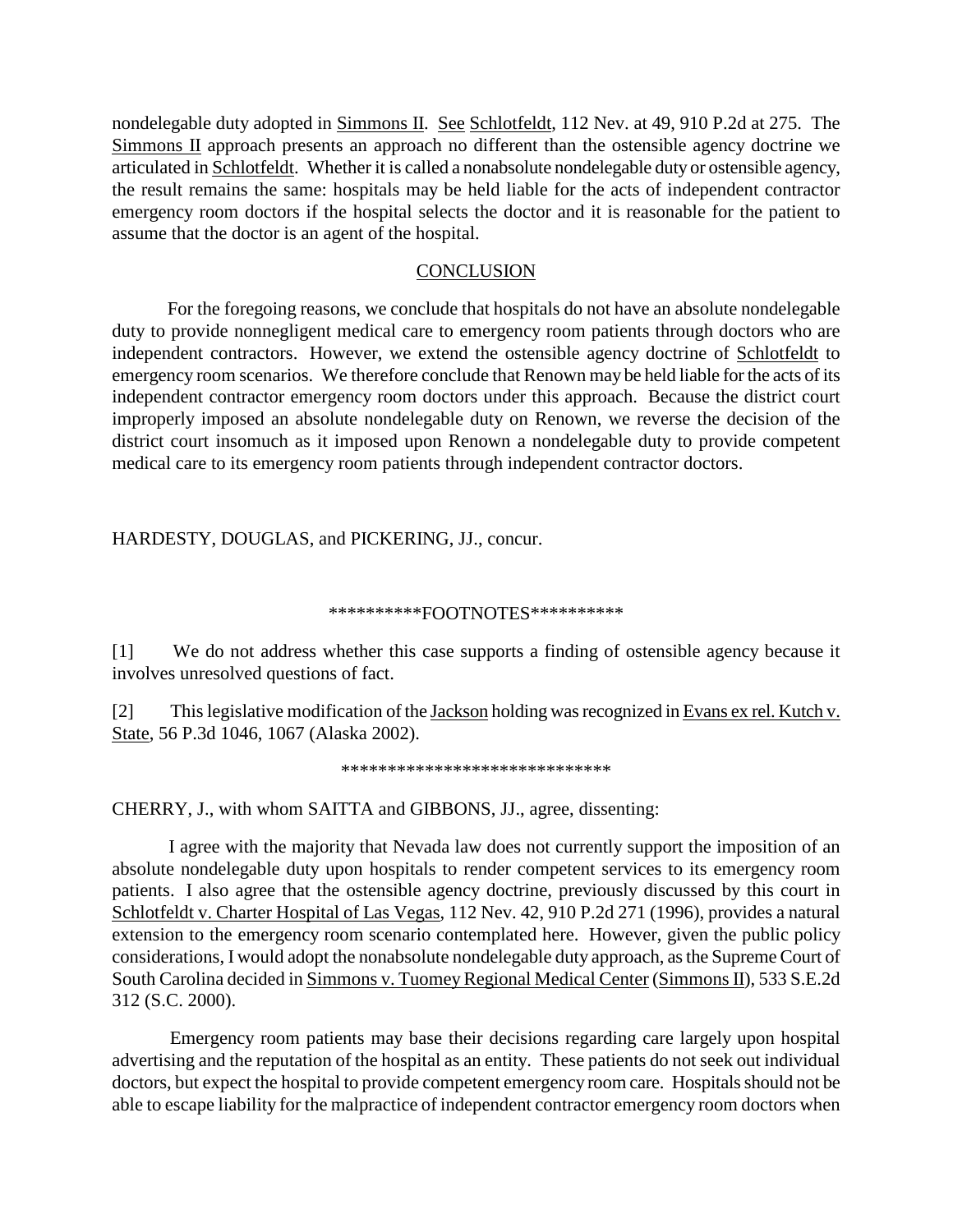nondelegable duty adopted in Simmons II. See Schlotfeldt, 112 Nev. at 49, 910 P.2d at 275. The Simmons II approach presents an approach no different than the ostensible agency doctrine we articulated in Schlotfeldt. Whether it is called a nonabsolute nondelegable duty or ostensible agency, the result remains the same: hospitals may be held liable for the acts of independent contractor emergency room doctors if the hospital selects the doctor and it is reasonable for the patient to assume that the doctor is an agent of the hospital.

## **CONCLUSION**

 For the foregoing reasons, we conclude that hospitals do not have an absolute nondelegable duty to provide nonnegligent medical care to emergency room patients through doctors who are independent contractors. However, we extend the ostensible agency doctrine of Schlotfeldt to emergency room scenarios. We therefore conclude that Renown may be held liable for the acts of its independent contractor emergency room doctors under this approach. Because the district court improperly imposed an absolute nondelegable duty on Renown, we reverse the decision of the district court insomuch as it imposed upon Renown a nondelegable duty to provide competent medical care to its emergency room patients through independent contractor doctors.

HARDESTY, DOUGLAS, and PICKERING, JJ., concur.

#### \*\*\*\*\*\*\*\*\*\*FOOTNOTES\*\*\*\*\*\*\*\*\*\*

[1] We do not address whether this case supports a finding of ostensible agency because it involves unresolved questions of fact.

[2] This legislative modification of the Jackson holding was recognized in Evans ex rel. Kutch v. State, 56 P.3d 1046, 1067 (Alaska 2002).

```
*****************************
```
CHERRY, J., with whom SAITTA and GIBBONS, JJ., agree, dissenting:

 I agree with the majority that Nevada law does not currently support the imposition of an absolute nondelegable duty upon hospitals to render competent services to its emergency room patients. I also agree that the ostensible agency doctrine, previously discussed by this court in Schlotfeldt v. Charter Hospital of Las Vegas, 112 Nev. 42, 910 P.2d 271 (1996), provides a natural extension to the emergency room scenario contemplated here. However, given the public policy considerations, I would adopt the nonabsolute nondelegable duty approach, as the Supreme Court of South Carolina decided in Simmons v. Tuomey Regional Medical Center (Simmons II), 533 S.E.2d 312 (S.C. 2000).

 Emergency room patients may base their decisions regarding care largely upon hospital advertising and the reputation of the hospital as an entity. These patients do not seek out individual doctors, but expect the hospital to provide competent emergency room care. Hospitals should not be able to escape liability for the malpractice of independent contractor emergency room doctors when